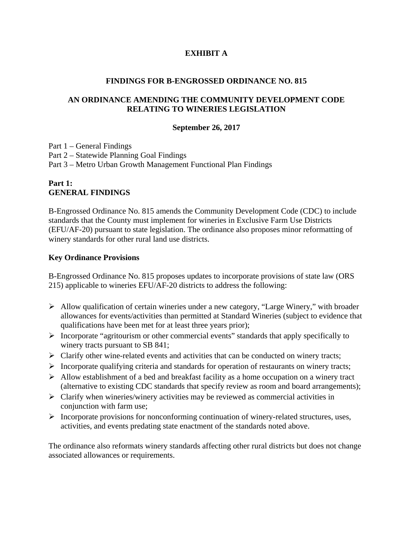## **EXHIBIT A**

#### **FINDINGS FOR B-ENGROSSED ORDINANCE NO. 815**

#### **AN ORDINANCE AMENDING THE COMMUNITY DEVELOPMENT CODE RELATING TO WINERIES LEGISLATION**

#### **September 26, 2017**

Part 1 – General Findings Part 2 – Statewide Planning Goal Findings Part 3 – Metro Urban Growth Management Functional Plan Findings

## **Part 1: GENERAL FINDINGS**

B-Engrossed Ordinance No. 815 amends the Community Development Code (CDC) to include standards that the County must implement for wineries in Exclusive Farm Use Districts (EFU/AF-20) pursuant to state legislation. The ordinance also proposes minor reformatting of winery standards for other rural land use districts.

#### **Key Ordinance Provisions**

B-Engrossed Ordinance No. 815 proposes updates to incorporate provisions of state law (ORS 215) applicable to wineries EFU/AF-20 districts to address the following:

- $\triangleright$  Allow qualification of certain wineries under a new category, "Large Winery," with broader allowances for events/activities than permitted at Standard Wineries (subject to evidence that qualifications have been met for at least three years prior);
- $\triangleright$  Incorporate "agritourism or other commercial events" standards that apply specifically to winery tracts pursuant to SB 841;
- $\triangleright$  Clarify other wine-related events and activities that can be conducted on winery tracts;
- $\triangleright$  Incorporate qualifying criteria and standards for operation of restaurants on winery tracts;
- $\triangleright$  Allow establishment of a bed and breakfast facility as a home occupation on a winery tract (alternative to existing CDC standards that specify review as room and board arrangements);
- $\triangleright$  Clarify when wineries/winery activities may be reviewed as commercial activities in conjunction with farm use;
- Incorporate provisions for nonconforming continuation of winery-related structures, uses, activities, and events predating state enactment of the standards noted above.

The ordinance also reformats winery standards affecting other rural districts but does not change associated allowances or requirements.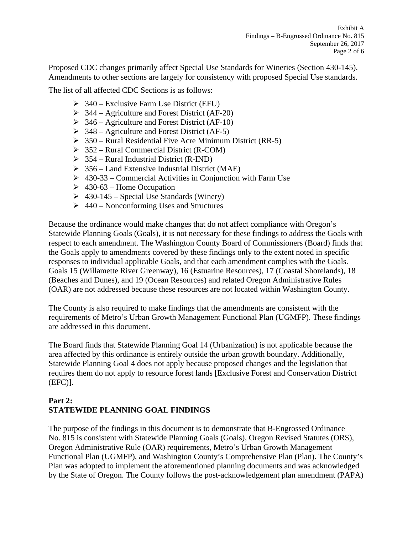Proposed CDC changes primarily affect Special Use Standards for Wineries (Section 430-145). Amendments to other sections are largely for consistency with proposed Special Use standards.

The list of all affected CDC Sections is as follows:

- $\geq$  340 Exclusive Farm Use District (EFU)
- $\geq$  344 Agriculture and Forest District (AF-20)
- $\geq$  346 Agriculture and Forest District (AF-10)
- $\geq$  348 Agriculture and Forest District (AF-5)
- $\geq$  350 Rural Residential Five Acre Minimum District (RR-5)
- $\geq$  352 Rural Commercial District (R-COM)
- $\geq$  354 Rural Industrial District (R-IND)
- $\geq$  356 Land Extensive Industrial District (MAE)
- $\geq 430-33$  Commercial Activities in Conjunction with Farm Use
- $\geq 430-63$  Home Occupation
- $\geq 430-145$  Special Use Standards (Winery)
- $\geq 440$  Nonconforming Uses and Structures

Because the ordinance would make changes that do not affect compliance with Oregon's Statewide Planning Goals (Goals), it is not necessary for these findings to address the Goals with respect to each amendment. The Washington County Board of Commissioners (Board) finds that the Goals apply to amendments covered by these findings only to the extent noted in specific responses to individual applicable Goals, and that each amendment complies with the Goals. Goals 15 (Willamette River Greenway), 16 (Estuarine Resources), 17 (Coastal Shorelands), 18 (Beaches and Dunes), and 19 (Ocean Resources) and related Oregon Administrative Rules (OAR) are not addressed because these resources are not located within Washington County.

The County is also required to make findings that the amendments are consistent with the requirements of Metro's Urban Growth Management Functional Plan (UGMFP). These findings are addressed in this document.

The Board finds that Statewide Planning Goal 14 (Urbanization) is not applicable because the area affected by this ordinance is entirely outside the urban growth boundary. Additionally, Statewide Planning Goal 4 does not apply because proposed changes and the legislation that requires them do not apply to resource forest lands [Exclusive Forest and Conservation District (EFC)].

## **Part 2: STATEWIDE PLANNING GOAL FINDINGS**

The purpose of the findings in this document is to demonstrate that B-Engrossed Ordinance No. 815 is consistent with Statewide Planning Goals (Goals), Oregon Revised Statutes (ORS), Oregon Administrative Rule (OAR) requirements, Metro's Urban Growth Management Functional Plan (UGMFP), and Washington County's Comprehensive Plan (Plan). The County's Plan was adopted to implement the aforementioned planning documents and was acknowledged by the State of Oregon. The County follows the post-acknowledgement plan amendment (PAPA)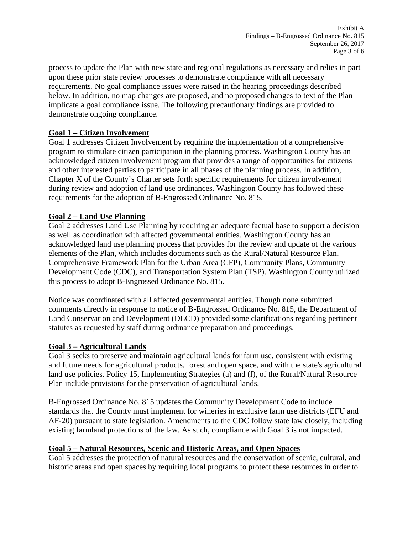process to update the Plan with new state and regional regulations as necessary and relies in part upon these prior state review processes to demonstrate compliance with all necessary requirements. No goal compliance issues were raised in the hearing proceedings described below. In addition, no map changes are proposed, and no proposed changes to text of the Plan implicate a goal compliance issue. The following precautionary findings are provided to demonstrate ongoing compliance.

## **Goal 1 – Citizen Involvement**

Goal 1 addresses Citizen Involvement by requiring the implementation of a comprehensive program to stimulate citizen participation in the planning process. Washington County has an acknowledged citizen involvement program that provides a range of opportunities for citizens and other interested parties to participate in all phases of the planning process. In addition, Chapter X of the County's Charter sets forth specific requirements for citizen involvement during review and adoption of land use ordinances. Washington County has followed these requirements for the adoption of B-Engrossed Ordinance No. 815.

# **Goal 2 – Land Use Planning**

Goal 2 addresses Land Use Planning by requiring an adequate factual base to support a decision as well as coordination with affected governmental entities. Washington County has an acknowledged land use planning process that provides for the review and update of the various elements of the Plan, which includes documents such as the Rural/Natural Resource Plan, Comprehensive Framework Plan for the Urban Area (CFP), Community Plans, Community Development Code (CDC), and Transportation System Plan (TSP). Washington County utilized this process to adopt B-Engrossed Ordinance No. 815.

Notice was coordinated with all affected governmental entities. Though none submitted comments directly in response to notice of B-Engrossed Ordinance No. 815, the Department of Land Conservation and Development (DLCD) provided some clarifications regarding pertinent statutes as requested by staff during ordinance preparation and proceedings.

## **Goal 3 – Agricultural Lands**

Goal 3 seeks to preserve and maintain agricultural lands for farm use, consistent with existing and future needs for agricultural products, forest and open space, and with the state's agricultural land use policies. Policy 15, Implementing Strategies (a) and (f), of the Rural/Natural Resource Plan include provisions for the preservation of agricultural lands.

B-Engrossed Ordinance No. 815 updates the Community Development Code to include standards that the County must implement for wineries in exclusive farm use districts (EFU and AF-20) pursuant to state legislation. Amendments to the CDC follow state law closely, including existing farmland protections of the law. As such, compliance with Goal 3 is not impacted.

## **Goal 5 – Natural Resources, Scenic and Historic Areas, and Open Spaces**

Goal 5 addresses the protection of natural resources and the conservation of scenic, cultural, and historic areas and open spaces by requiring local programs to protect these resources in order to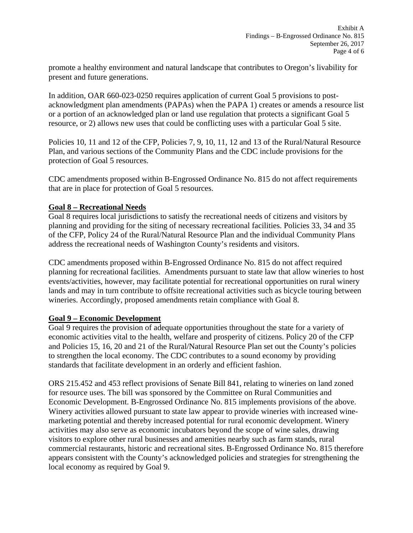promote a healthy environment and natural landscape that contributes to Oregon's livability for present and future generations.

In addition, OAR 660-023-0250 requires application of current Goal 5 provisions to postacknowledgment plan amendments (PAPAs) when the PAPA 1) creates or amends a resource list or a portion of an acknowledged plan or land use regulation that protects a significant Goal 5 resource, or 2) allows new uses that could be conflicting uses with a particular Goal 5 site.

Policies 10, 11 and 12 of the CFP, Policies 7, 9, 10, 11, 12 and 13 of the Rural/Natural Resource Plan, and various sections of the Community Plans and the CDC include provisions for the protection of Goal 5 resources.

CDC amendments proposed within B-Engrossed Ordinance No. 815 do not affect requirements that are in place for protection of Goal 5 resources.

## **Goal 8 – Recreational Needs**

Goal 8 requires local jurisdictions to satisfy the recreational needs of citizens and visitors by planning and providing for the siting of necessary recreational facilities. Policies 33, 34 and 35 of the CFP, Policy 24 of the Rural/Natural Resource Plan and the individual Community Plans address the recreational needs of Washington County's residents and visitors.

CDC amendments proposed within B-Engrossed Ordinance No. 815 do not affect required planning for recreational facilities. Amendments pursuant to state law that allow wineries to host events/activities, however, may facilitate potential for recreational opportunities on rural winery lands and may in turn contribute to offsite recreational activities such as bicycle touring between wineries. Accordingly, proposed amendments retain compliance with Goal 8.

## **Goal 9 – Economic Development**

Goal 9 requires the provision of adequate opportunities throughout the state for a variety of economic activities vital to the health, welfare and prosperity of citizens. Policy 20 of the CFP and Policies 15, 16, 20 and 21 of the Rural/Natural Resource Plan set out the County's policies to strengthen the local economy. The CDC contributes to a sound economy by providing standards that facilitate development in an orderly and efficient fashion.

ORS 215.452 and 453 reflect provisions of Senate Bill 841, relating to wineries on land zoned for resource uses. The bill was sponsored by the Committee on Rural Communities and Economic Development. B-Engrossed Ordinance No. 815 implements provisions of the above. Winery activities allowed pursuant to state law appear to provide wineries with increased winemarketing potential and thereby increased potential for rural economic development. Winery activities may also serve as economic incubators beyond the scope of wine sales, drawing visitors to explore other rural businesses and amenities nearby such as farm stands, rural commercial restaurants, historic and recreational sites. B-Engrossed Ordinance No. 815 therefore appears consistent with the County's acknowledged policies and strategies for strengthening the local economy as required by Goal 9.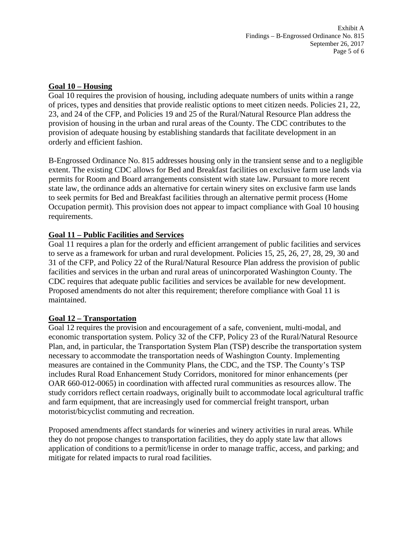#### **Goal 10 – Housing**

Goal 10 requires the provision of housing, including adequate numbers of units within a range of prices, types and densities that provide realistic options to meet citizen needs. Policies 21, 22, 23, and 24 of the CFP, and Policies 19 and 25 of the Rural/Natural Resource Plan address the provision of housing in the urban and rural areas of the County. The CDC contributes to the provision of adequate housing by establishing standards that facilitate development in an orderly and efficient fashion.

B-Engrossed Ordinance No. 815 addresses housing only in the transient sense and to a negligible extent. The existing CDC allows for Bed and Breakfast facilities on exclusive farm use lands via permits for Room and Board arrangements consistent with state law. Pursuant to more recent state law, the ordinance adds an alternative for certain winery sites on exclusive farm use lands to seek permits for Bed and Breakfast facilities through an alternative permit process (Home Occupation permit). This provision does not appear to impact compliance with Goal 10 housing requirements.

#### **Goal 11 – Public Facilities and Services**

Goal 11 requires a plan for the orderly and efficient arrangement of public facilities and services to serve as a framework for urban and rural development. Policies 15, 25, 26, 27, 28, 29, 30 and 31 of the CFP, and Policy 22 of the Rural/Natural Resource Plan address the provision of public facilities and services in the urban and rural areas of unincorporated Washington County. The CDC requires that adequate public facilities and services be available for new development. Proposed amendments do not alter this requirement; therefore compliance with Goal 11 is maintained.

## **Goal 12 – Transportation**

Goal 12 requires the provision and encouragement of a safe, convenient, multi-modal, and economic transportation system. Policy 32 of the CFP, Policy 23 of the Rural/Natural Resource Plan, and, in particular, the Transportation System Plan (TSP) describe the transportation system necessary to accommodate the transportation needs of Washington County. Implementing measures are contained in the Community Plans, the CDC, and the TSP. The County's TSP includes Rural Road Enhancement Study Corridors, monitored for minor enhancements (per OAR 660-012-0065) in coordination with affected rural communities as resources allow. The study corridors reflect certain roadways, originally built to accommodate local agricultural traffic and farm equipment, that are increasingly used for commercial freight transport, urban motorist/bicyclist commuting and recreation.

Proposed amendments affect standards for wineries and winery activities in rural areas. While they do not propose changes to transportation facilities, they do apply state law that allows application of conditions to a permit/license in order to manage traffic, access, and parking; and mitigate for related impacts to rural road facilities.